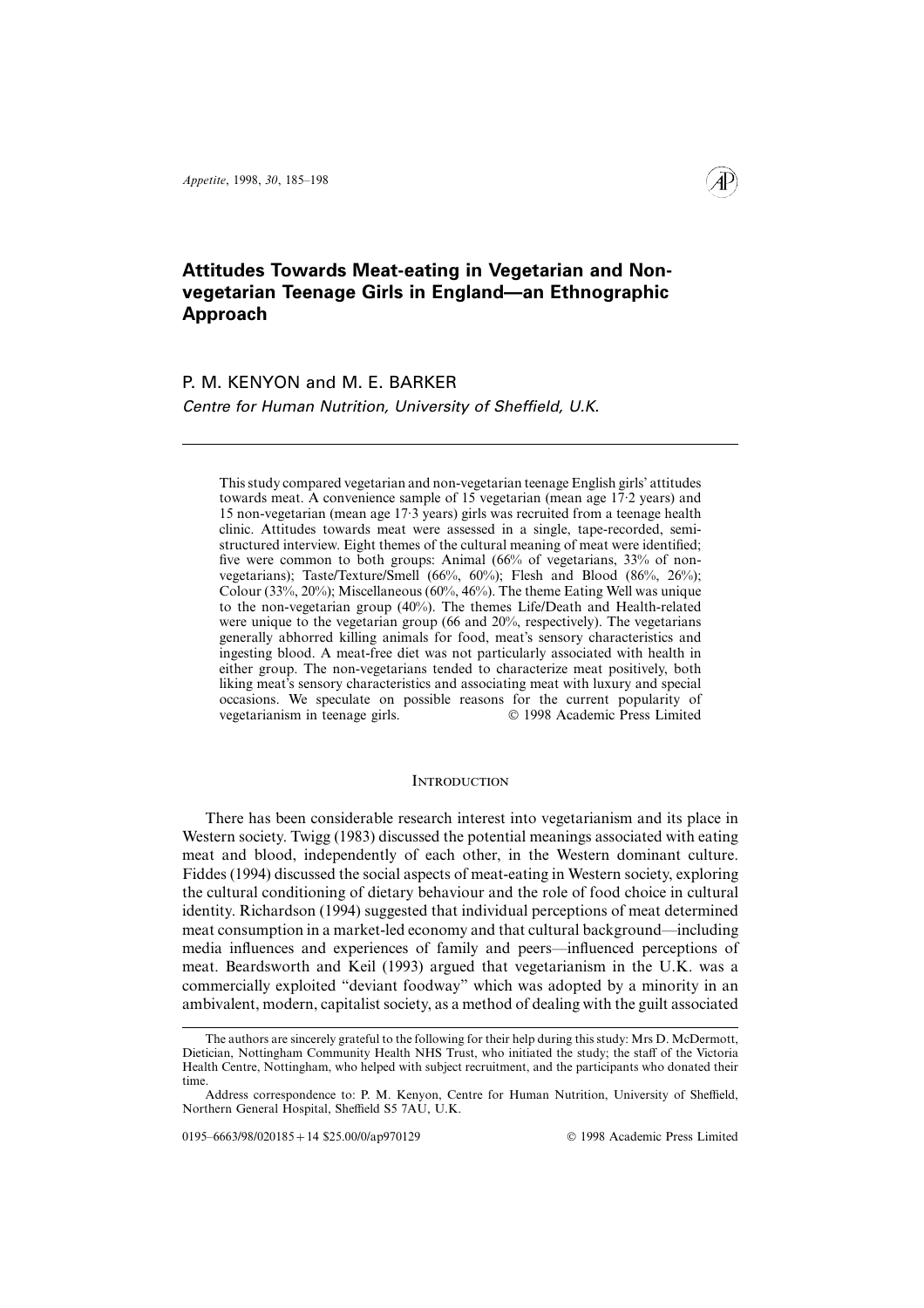

# **Attitudes Towards Meat-eating in Vegetarian and Nonvegetarian Teenage Girls in England—an Ethnographic Approach**

P. M. KENYON and M. E. BARKER

Centre for Human Nutrition, University of Sheffield, U.K.

This study compared vegetarian and non-vegetarian teenage English girls' attitudes towards meat. A convenience sample of 15 vegetarian (mean age 17·2 years) and 15 non-vegetarian (mean age 17·3 years) girls was recruited from a teenage health clinic. Attitudes towards meat were assessed in a single, tape-recorded, semistructured interview. Eight themes of the cultural meaning of meat were identified; five were common to both groups: Animal (66% of vegetarians, 33% of nonvegetarians); Taste/Texture/Smell (66%, 60%); Flesh and Blood (86%, 26%); Colour (33%, 20%); Miscellaneous (60%, 46%). The theme Eating Well was unique to the non-vegetarian group (40%). The themes Life/Death and Health-related were unique to the vegetarian group (66 and 20%, respectively). The vegetarians generally abhorred killing animals for food, meat's sensory characteristics and ingesting blood. A meat-free diet was not particularly associated with health in either group. The non-vegetarians tended to characterize meat positively, both liking meat's sensory characteristics and associating meat with luxury and special occasions. We speculate on possible reasons for the current popularity of vegetarianism in teenage girls. 1998 Academic Press Limited

### **INTRODUCTION**

There has been considerable research interest into vegetarianism and its place in Western society. Twigg (1983) discussed the potential meanings associated with eating meat and blood, independently of each other, in the Western dominant culture. Fiddes (1994) discussed the social aspects of meat-eating in Western society, exploring the cultural conditioning of dietary behaviour and the role of food choice in cultural identity. Richar[dson \(1994\) su](#page-13-0)ggested that individual perceptions of meat determined meat consumption in a market-led economy and that cultural background—including [media influen](#page-13-0)ces and experiences of family and peers—influenced perceptions of meat. Beardsworth and Keil (1993) argued that vegetarianism in the U.K. was a commer[cially exploited "de](#page-13-0)viant foodway" which was adopted by a minority in an ambivalent, modern, capitalist society, as a method of dealing with the guilt associated

0195–6663/98/020185+14 \$25.00/0/ap970129 1998 Academic Press Limited

Th[e authors are sincerely grateful to the fo](#page-13-0)llowing for their help during this study: Mrs D. McDermott, Dietician, Nottingham Community Health NHS Trust, who initiated the study; the staff of the Victoria Health Centre, Nottingham, who helped with subject recruitment, and the participants who donated their time.

Address correspondence to: P. M. Kenyon, Centre for Human Nutrition, University of Sheffield, Northern General Hospital, Sheffield S5 7AU, U.K.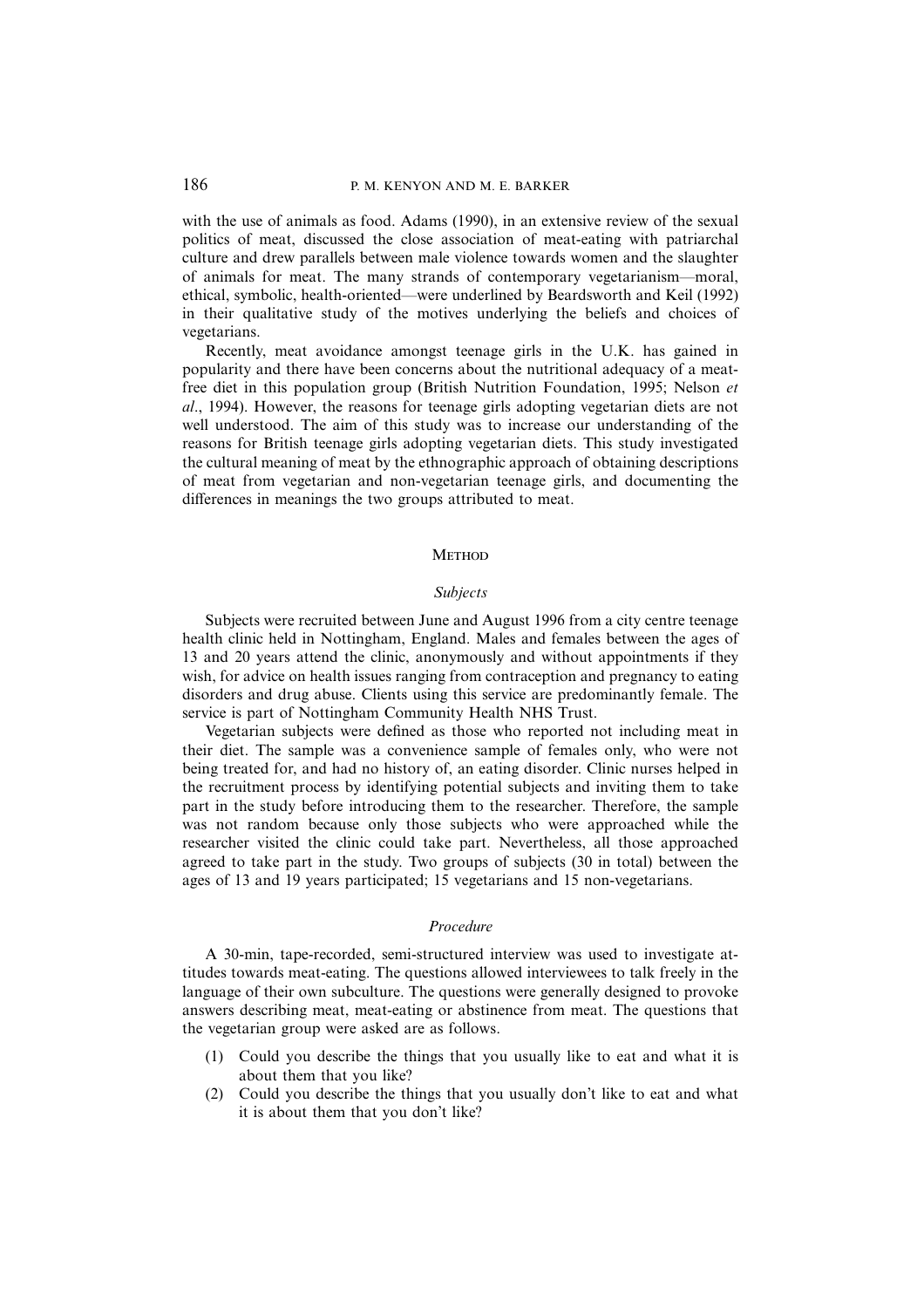with the use of animals as food. Adams (1990), in an extensive review of the sexual politics of meat, discussed the close association of meat-eating with patriarchal culture and drew parallels between male violence towards women and the slaughter of animals for meat. The many strands of contemporary vegetarianism—moral, ethical, symbolic, health-oriente[d—were underli](#page-13-0)ned by Beardsworth and Keil (1992) in their qualitative study of the motives underlying the beliefs and choices of vegetarians.

Recently, meat avoidance amongst teenage girls in the U.K. has gained in popularity and there have been concerns about the nu[tritional adequacy of a meat](#page-13-0)free diet in this population group (British Nutrition Foundation, 1995; Nelson *et al*., 1994). However, the reasons for teenage girls adopting vegetarian diets are not well understood. The aim of this study was to increase our understanding of the reasons for British teenage girls adopting vegetarian diets. This study investigated the cultural meaning of meat by the [ethnographic approach of obtaining descriptions](#page-13-0) [of meat](#page-13-0) from vegetarian and non-vegetarian teenage girls, and documenting the differences in meanings the two groups attributed to meat.

## **METHOD**

## *Subjects*

Subjects were recruited between June and August 1996 from a city centre teenage health clinic held in Nottingham, England. Males and females between the ages of 13 and 20 years attend the clinic, anonymously and without appointments if they wish, for advice on health issues ranging from contraception and pregnancy to eating disorders and drug abuse. Clients using this service are predominantly female. The service is part of Nottingham Community Health NHS Trust.

Vegetarian subjects were defined as those who reported not including meat in their diet. The sample was a convenience sample of females only, who were not being treated for, and had no history of, an eating disorder. Clinic nurses helped in the recruitment process by identifying potential subjects and inviting them to take part in the study before introducing them to the researcher. Therefore, the sample was not random because only those subjects who were approached while the researcher visited the clinic could take part. Nevertheless, all those approached agreed to take part in the study. Two groups of subjects (30 in total) between the ages of 13 and 19 years participated; 15 vegetarians and 15 non-vegetarians.

#### *Procedure*

A 30-min, tape-recorded, semi-structured interview was used to investigate attitudes towards meat-eating. The questions allowed interviewees to talk freely in the language of their own subculture. The questions were generally designed to provoke answers describing meat, meat-eating or abstinence from meat. The questions that the vegetarian group were asked are as follows.

- (1) Could you describe the things that you usually like to eat and what it is about them that you like?
- (2) Could you describe the things that you usually don't like to eat and what it is about them that you don't like?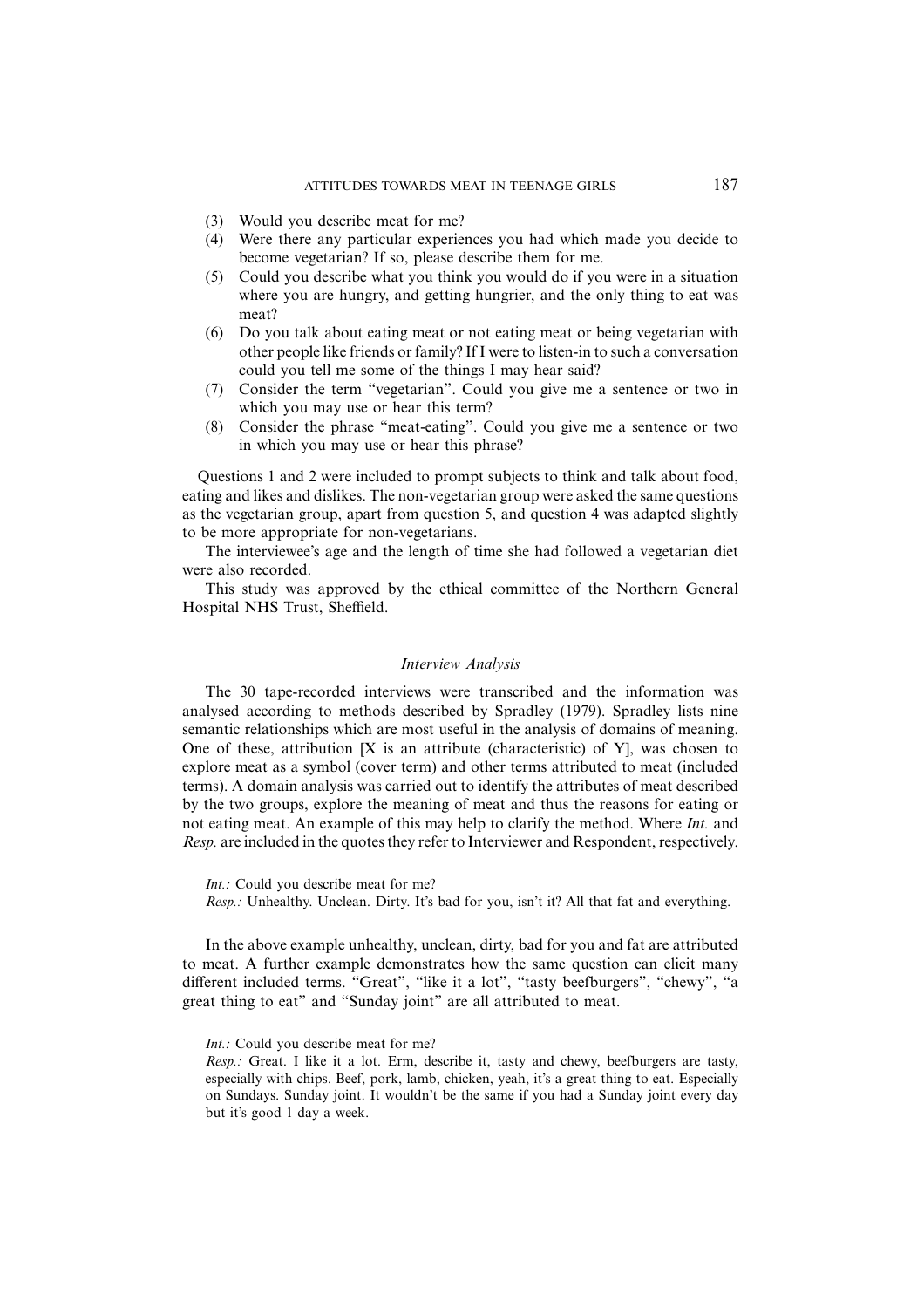- (3) Would you describe meat for me?
- (4) Were there any particular experiences you had which made you decide to become vegetarian? If so, please describe them for me.
- (5) Could you describe what you think you would do if you were in a situation where you are hungry, and getting hungrier, and the only thing to eat was meat?
- (6) Do you talk about eating meat or not eating meat or being vegetarian with other people like friends or family? If I were to listen-in to such a conversation could you tell me some of the things I may hear said?
- (7) Consider the term "vegetarian". Could you give me a sentence or two in which you may use or hear this term?
- (8) Consider the phrase "meat-eating". Could you give me a sentence or two in which you may use or hear this phrase?

Questions 1 and 2 were included to prompt subjects to think and talk about food, eating and likes and dislikes. The non-vegetarian group were asked the same questions as the vegetarian group, apart from question 5, and question 4 was adapted slightly to be more appropriate for non-vegetarians.

The interviewee's age and the length of time she had followed a vegetarian diet were also recorded.

This study was approved by the ethical committee of the Northern General Hospital NHS Trust, Sheffield.

### *Interview Analysis*

The 30 tape-recorded interviews were transcribed and the information was analysed according to methods described by Spradley (1979). Spradley lists nine semantic relationships which are most useful in the analysis of domains of meaning. One of these, attribution  $[X]$  is an attribute (characteristic) of  $Y$ ], was chosen to explore meat as a symbol (cover term) and other terms attributed to meat (included terms). A domain analysis was carried out to id[entify the attribut](#page-13-0)es of meat described by the two groups, explore the meaning of meat and thus the reasons for eating or not eating meat. An example of this may help to clarify the method. Where *Int.* and *Resp.* are included in the quotes they refer to Interviewer and Respondent, respectively.

*Int.:* Could you describe meat for me? *Resp.:* Unhealthy. Unclean. Dirty. It's bad for you, isn't it? All that fat and everything.

In the above example unhealthy, unclean, dirty, bad for you and fat are attributed to meat. A further example demonstrates how the same question can elicit many different included terms. "Great", "like it a lot", "tasty beefburgers", "chewy", "a great thing to eat" and "Sunday joint" are all attributed to meat.

*Int.:* Could you describe meat for me?

*Resp.:* Great. I like it a lot. Erm, describe it, tasty and chewy, beefburgers are tasty, especially with chips. Beef, pork, lamb, chicken, yeah, it's a great thing to eat. Especially on Sundays. Sunday joint. It wouldn't be the same if you had a Sunday joint every day but it's good 1 day a week.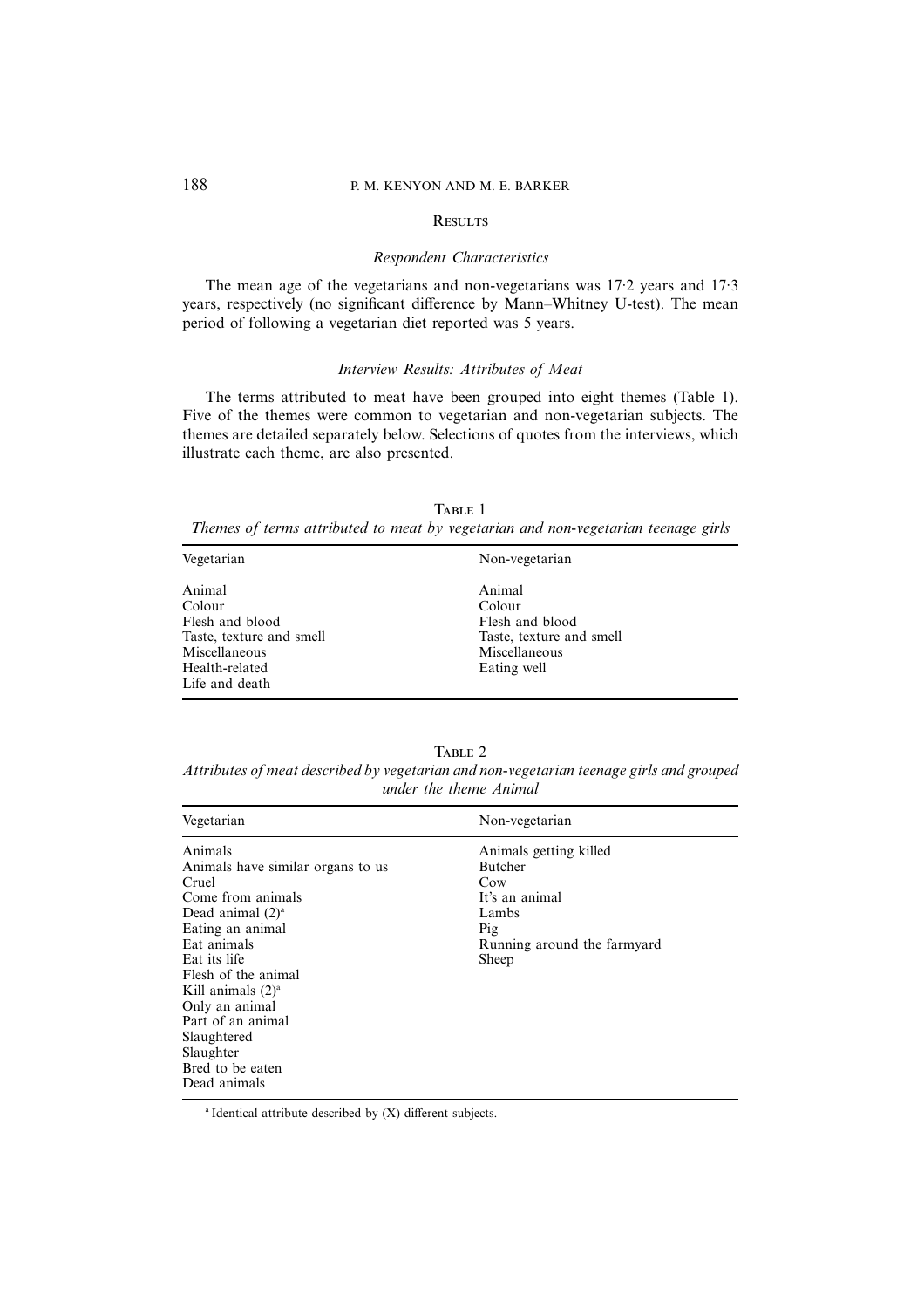### **RESULTS**

## *Respondent Characteristics*

The mean age of the vegetarians and non-vegetarians was 17·2 years and 17·3 years, respectively (no significant difference by Mann–Whitney U-test). The mean period of following a vegetarian diet reported was 5 years.

### *Interview Results: Attributes of Meat*

The terms attributed to meat have been grouped into eight themes (Table 1). Five of the themes were common to vegetarian and non-vegetarian subjects. The themes are detailed separately below. Selections of quotes from the interviews, which illustrate each theme, are also presented.

TABLE 1 *Themes of terms attributed to meat by vegetarian and non-vegetarian teenage girls*

| Vegetarian                                                                                                           | Non-vegetarian                                                                                  |
|----------------------------------------------------------------------------------------------------------------------|-------------------------------------------------------------------------------------------------|
| Animal<br>Colour<br>Flesh and blood<br>Taste, texture and smell<br>Miscellaneous<br>Health-related<br>Life and death | Animal<br>Colour<br>Flesh and blood<br>Taste, texture and smell<br>Miscellaneous<br>Eating well |

TABLE 2 *Attributes of meat described by vegetarian and non-vegetarian teenage girls and grouped under the theme Animal*

| Vegetarian                        | Non-vegetarian              |
|-----------------------------------|-----------------------------|
| Animals                           | Animals getting killed      |
| Animals have similar organs to us | <b>Butcher</b>              |
| Cruel                             | Cow                         |
| Come from animals                 | It's an animal              |
| Dead animal $(2)^a$               | Lambs                       |
| Eating an animal                  | Pig                         |
| Eat animals                       | Running around the farmyard |
| Eat its life                      | Sheep                       |
| Flesh of the animal               |                             |
| Kill animals $(2)^a$              |                             |
| Only an animal                    |                             |
| Part of an animal                 |                             |
| Slaughtered                       |                             |
| Slaughter                         |                             |
| Bred to be eaten                  |                             |
| Dead animals                      |                             |

<sup>a</sup> Identical attribute described by (X) different subjects.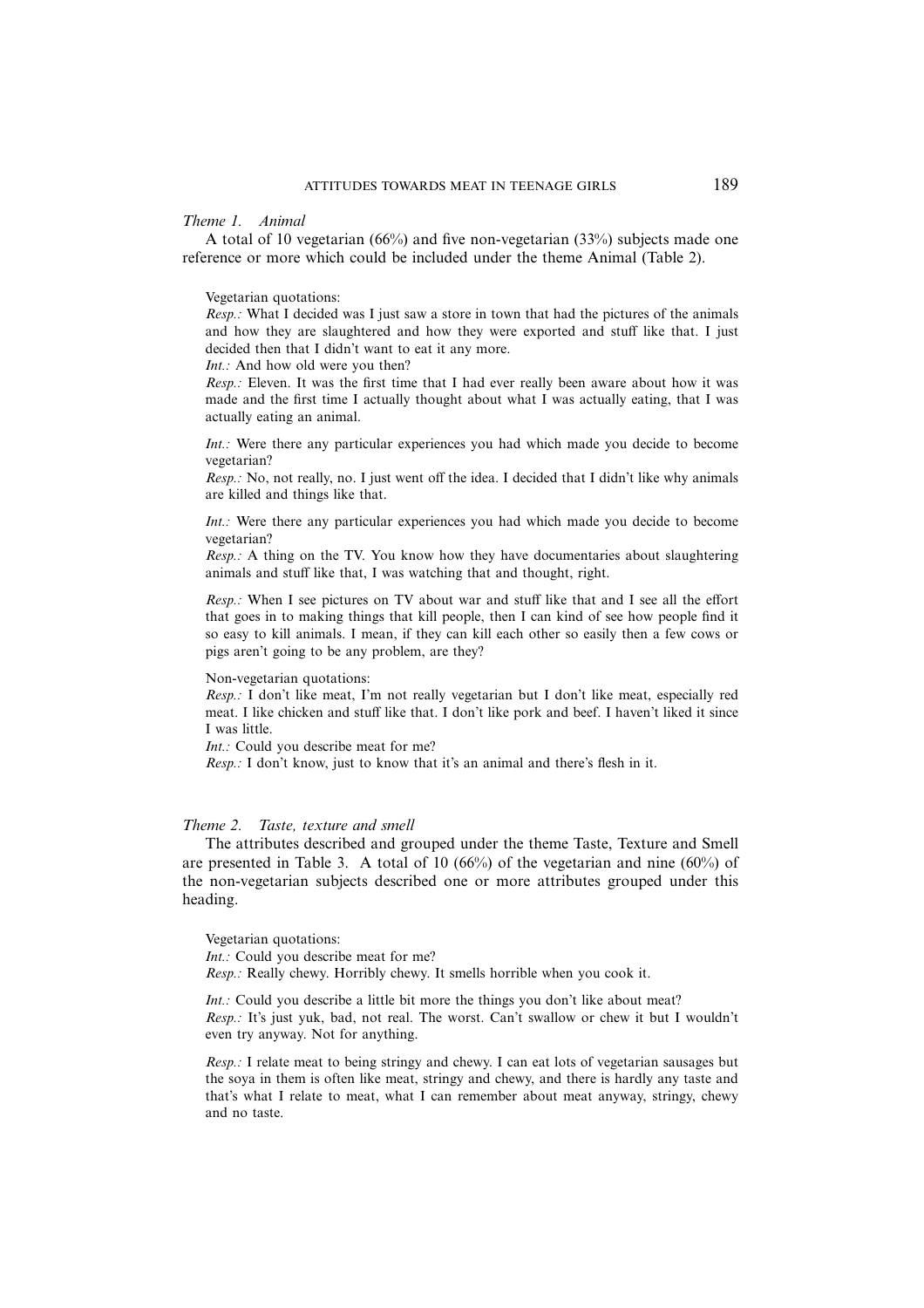### *Theme 1. Animal*

A total of 10 vegetarian (66%) and five non-vegetarian (33%) subjects made one reference or more which could be included under the theme Animal (Table 2).

## Vegetarian quotations:

*Resp.:* What I decided was I just saw a store in town that had the pictures of the animals and how they are slaughtered and how they were exported and stuff like that. I just decided then that I didn't want to eat it any more.

*Int.:* And how old were you then?

*Resp.:* Eleven. It was the first time that I had ever really been aware about how it was made and the first time I actually thought about what I was actually eating, that I was actually eating an animal.

*Int.:* Were there any particular experiences you had which made you decide to become vegetarian?

*Resp.:* No, not really, no. I just went off the idea. I decided that I didn't like why animals are killed and things like that.

*Int.:* Were there any particular experiences you had which made you decide to become vegetarian?

*Resp.:* A thing on the TV. You know how they have documentaries about slaughtering animals and stuff like that, I was watching that and thought, right.

*Resp.:* When I see pictures on TV about war and stuff like that and I see all the effort that goes in to making things that kill people, then I can kind of see how people find it so easy to kill animals. I mean, if they can kill each other so easily then a few cows or pigs aren't going to be any problem, are they?

### Non-vegetarian quotations:

*Resp.:* I don't like meat, I'm not really vegetarian but I don't like meat, especially red meat. I like chicken and stuff like that. I don't like pork and beef. I haven't liked it since I was little.

*Int.:* Could you describe meat for me?

*Resp.*: I don't know, just to know that it's an animal and there's flesh in it.

## *Theme 2. Taste, texture and smell*

The attributes described and grouped under the theme Taste, Texture and Smell are presented in Table 3. A total of 10 (66%) of the vegetarian and nine (60%) of the non-vegetarian subjects described one or more attributes grouped under this heading.

Vegetarian quotations:

*Int.:* Could you describe meat for me?

*Resp.:* Really chewy. Horribly chewy. It smells horrible when you cook it.

*Int.:* Could you describe a little bit more the things you don't like about meat? *Resp.:* It's just yuk, bad, not real. The worst. Can't swallow or chew it but I wouldn't even try anyway. Not for anything.

*Resp.:* I relate meat to being stringy and chewy. I can eat lots of vegetarian sausages but the soya in them is often like meat, stringy and chewy, and there is hardly any taste and that's what I relate to meat, what I can remember about meat anyway, stringy, chewy and no taste.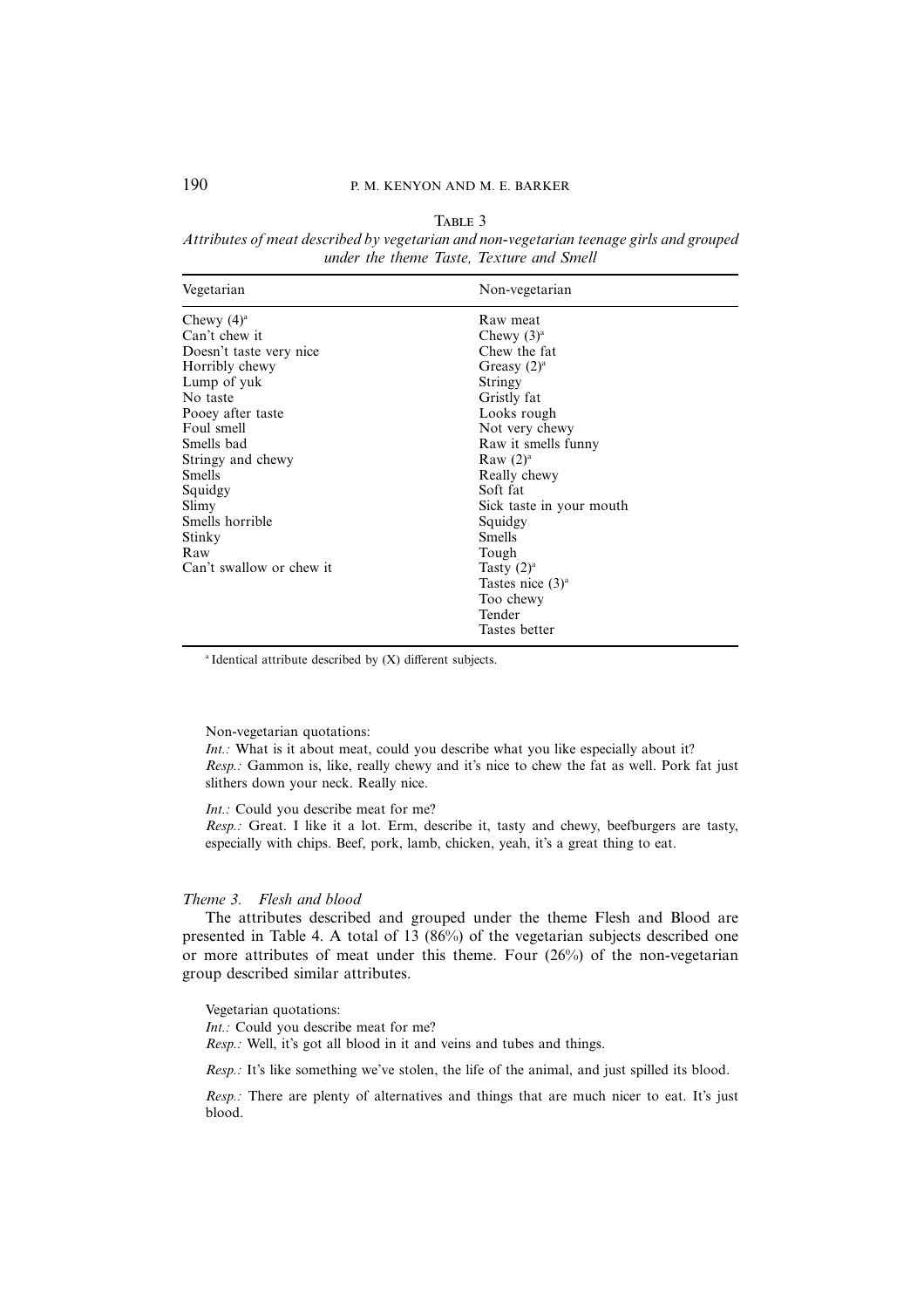## 190 P.M. KENYON AND M. E. BARKER

#### TABLE 3

*Attributes of meat described by vegetarian and non-vegetarian teenage girls and grouped under the theme Taste, Texture and Smell*

| Vegetarian                                                                                                                                                                                               | Non-vegetarian                                                                                                                                                                           |
|----------------------------------------------------------------------------------------------------------------------------------------------------------------------------------------------------------|------------------------------------------------------------------------------------------------------------------------------------------------------------------------------------------|
| Chewy $(4)^a$<br>Can't chew it<br>Doesn't taste very nice<br>Horribly chewy<br>Lump of yuk<br>No taste<br>Pooey after taste<br>Foul smell<br>Smells bad<br>Stringy and chewy<br><b>Smells</b><br>Squidgy | Raw meat<br>Chewy $(3)^a$<br>Chew the fat<br>Greasy $(2)^a$<br>Stringy<br>Gristly fat<br>Looks rough<br>Not very chewy<br>Raw it smells funny<br>Raw $(2)^a$<br>Really chewy<br>Soft fat |
| Slimy<br>Smells horrible<br>Stinky<br>Raw<br>Can't swallow or chew it                                                                                                                                    | Sick taste in your mouth<br>Squidgy<br><b>Smells</b><br>Tough<br>Tasty $(2)^a$<br>Tastes nice $(3)^a$<br>Too chewy<br>Tender<br>Tastes better                                            |

<sup>a</sup> Identical attribute described by (X) different subjects.

### Non-vegetarian quotations:

*Int.:* What is it about meat, could you describe what you like especially about it? *Resp.:* Gammon is, like, really chewy and it's nice to chew the fat as well. Pork fat just slithers down your neck. Really nice.

## *Int.:* Could you describe meat for me?

*Resp.:* Great. I like it a lot. Erm, describe it, tasty and chewy, beefburgers are tasty, especially with chips. Beef, pork, lamb, chicken, yeah, it's a great thing to eat.

## *Theme 3. Flesh and blood*

The attributes described and grouped under the theme Flesh and Blood are presented in Table 4. A total of  $13 \ (86%)$  of the vegetarian subjects described one or more attributes of meat under this theme. Four (26%) of the non-vegetarian group described similar attributes.

Vegetarian quotations:

*Int.:* Could you describe meat for me?

*Resp.:* Well, it's got all blood in it and veins and tubes and things.

*Resp.:* It's like something we've stolen, the life of the animal, and just spilled its blood.

*Resp.:* There are plenty of alternatives and things that are much nicer to eat. It's just blood.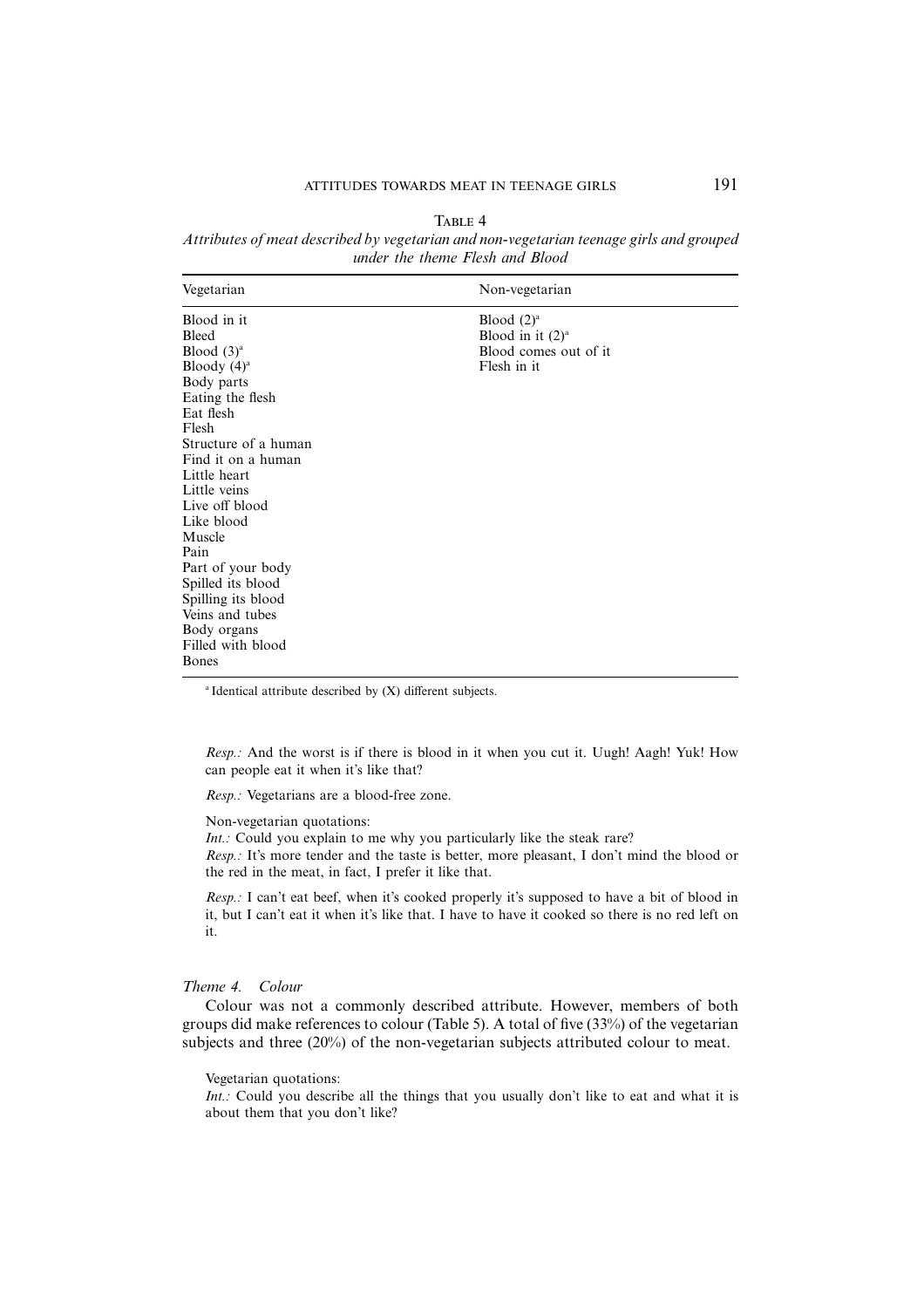TABLE 4

*Attributes of meat described by vegetarian and non-vegetarian teenage girls and grouped under the theme Flesh and Blood*

| Vegetarian           | Non-vegetarian         |
|----------------------|------------------------|
| Blood in it          | Blood $(2)^a$          |
| <b>Bleed</b>         | Blood in it $(2)^a$    |
| Blood $(3)^a$        | Blood comes out of it. |
| Bloody $(4)^a$       | Flesh in it            |
| Body parts           |                        |
| Eating the flesh     |                        |
| Eat flesh            |                        |
| Flesh                |                        |
| Structure of a human |                        |
| Find it on a human   |                        |
| Little heart         |                        |
| Little veins         |                        |
| Live off blood       |                        |
| Like blood           |                        |
| Muscle               |                        |
| Pain                 |                        |
| Part of your body    |                        |
| Spilled its blood    |                        |
| Spilling its blood   |                        |
| Veins and tubes      |                        |
| Body organs          |                        |
| Filled with blood    |                        |
| <b>Bones</b>         |                        |

<sup>a</sup> Identical attribute described by (X) different subjects.

*Resp.:* And the worst is if there is blood in it when you cut it. Uugh! Aagh! Yuk! How can people eat it when it's like that?

*Resp.:* Vegetarians are a blood-free zone.

### Non-vegetarian quotations:

*Int.:* Could you explain to me why you particularly like the steak rare?

*Resp.:* It's more tender and the taste is better, more pleasant, I don't mind the blood or the red in the meat, in fact, I prefer it like that.

*Resp.*: I can't eat beef, when it's cooked properly it's supposed to have a bit of blood in it, but I can't eat it when it's like that. I have to have it cooked so there is no red left on it.

## *Theme 4. Colour*

Colour was not a commonly described attribute. However, members of both groups did make references to colour (Table 5). A total of five (33%) of the vegetarian subjects and three (20%) of the non-vegetarian subjects attributed colour to meat.

## Vegetarian quotations:

*Int.:* Could you describe all the things that you usually don't like to eat and what it is about them that you don't like?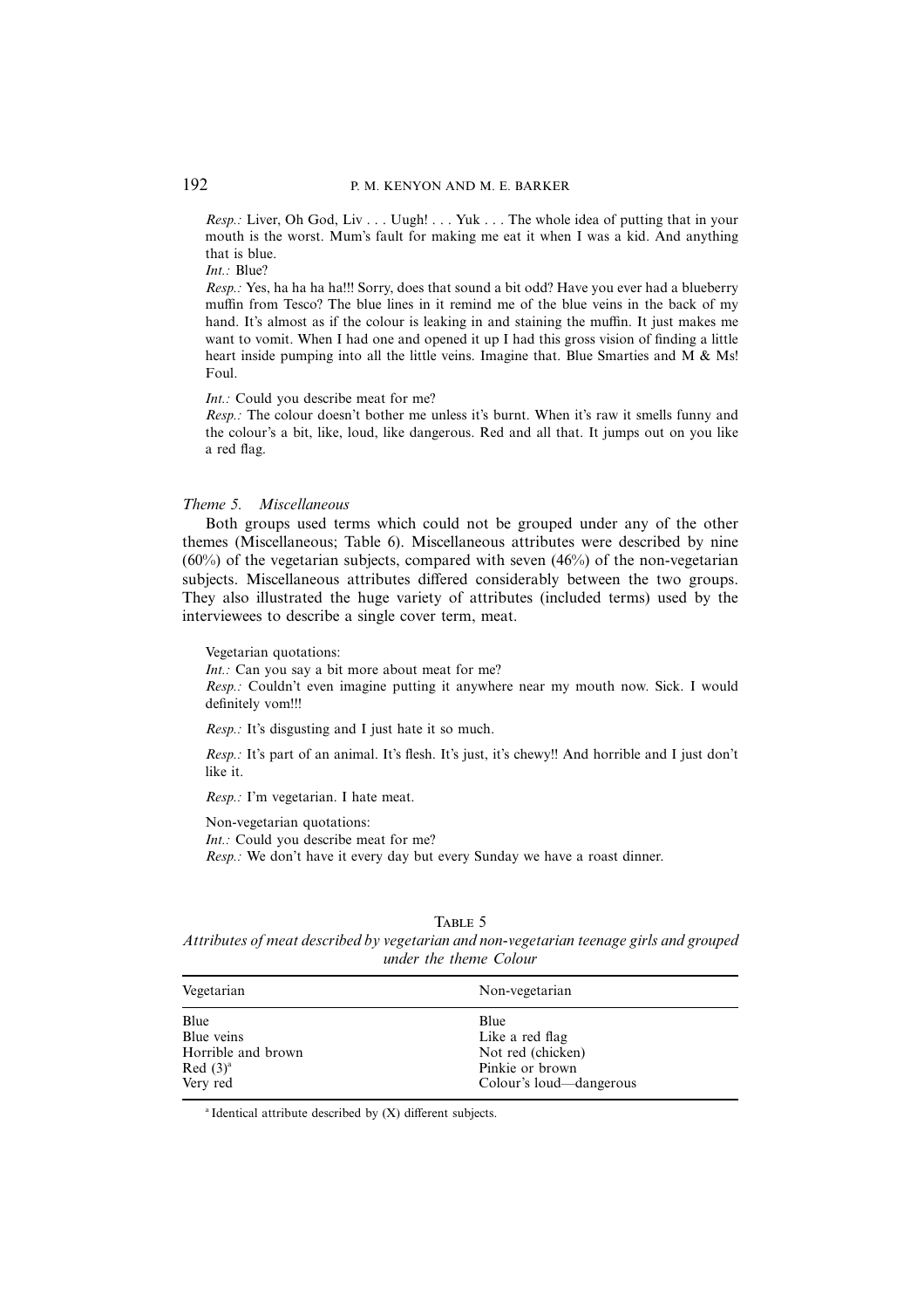*Resp.:* Liver, Oh God, Liv... Uugh! . . . Yuk . . . The whole idea of putting that in your mouth is the worst. Mum's fault for making me eat it when I was a kid. And anything that is blue.

*Int.:* Blue?

*Resp.:* Yes, ha ha ha ha!!! Sorry, does that sound a bit odd? Have you ever had a blueberry muffin from Tesco? The blue lines in it remind me of the blue veins in the back of my hand. It's almost as if the colour is leaking in and staining the muffin. It just makes me want to vomit. When I had one and opened it up I had this gross vision of finding a little heart inside pumping into all the little veins. Imagine that. Blue Smarties and M & Ms! Foul.

*Int.:* Could you describe meat for me?

*Resp.:* The colour doesn't bother me unless it's burnt. When it's raw it smells funny and the colour's a bit, like, loud, like dangerous. Red and all that. It jumps out on you like a red flag.

#### *Theme 5. Miscellaneous*

Both groups used terms which could not be grouped under any of the other themes (Miscellaneous; Table 6). Miscellaneous attributes were described by nine  $(60%)$  of the vegetarian subjects, compared with seven  $(46%)$  of the non-vegetarian subjects. Miscellaneous attributes differed considerably between the two groups. They also illustrated the huge variety of attributes (included terms) used by the interviewees to describe a single cover term, meat.

Vegetarian quotations:

*Int.:* Can you say a bit more about meat for me? *Resp.:* Couldn't even imagine putting it anywhere near my mouth now. Sick. I would definitely vom!!!

*Resp.:* It's disgusting and I just hate it so much.

*Resp.:* It's part of an animal. It's flesh. It's just, it's chewy!! And horrible and I just don't like it.

*Resp.:* I'm vegetarian. I hate meat.

Non-vegetarian quotations:

*Int.:* Could you describe meat for me?

*Resp.:* We don't have it every day but every Sunday we have a roast dinner.

TABLE 5 *Attributes of meat described by vegetarian and non-vegetarian teenage girls and grouped under the theme Colour*

| Vegetarian          | Non-vegetarian          |
|---------------------|-------------------------|
| Blue                | Blue                    |
| Blue veins          | Like a red flag         |
| Horrible and brown  | Not red (chicken)       |
| Red(3) <sup>a</sup> | Pinkie or brown         |
| Very red            | Colour's loud—dangerous |

<sup>a</sup> Identical attribute described by (X) different subjects.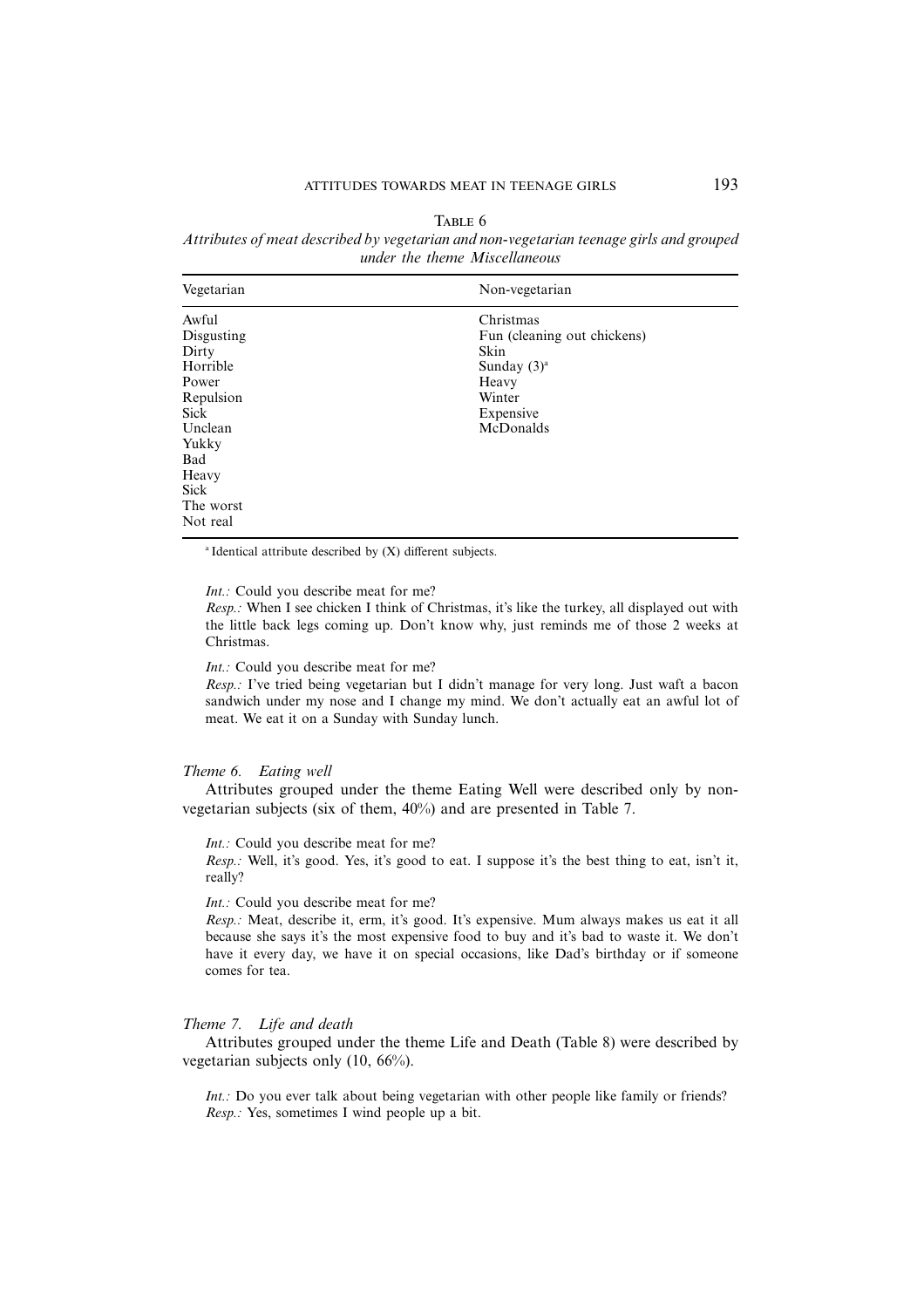TABLE 6

*Attributes of meat described by vegetarian and non-vegetarian teenage girls and grouped under the theme Miscellaneous*

| Vegetarian  | Non-vegetarian              |
|-------------|-----------------------------|
| Awful       | Christmas                   |
| Disgusting  | Fun (cleaning out chickens) |
| Dirty       | Skin                        |
| Horrible    | Sunday $(3)^a$              |
| Power       | Heavy                       |
| Repulsion   | Winter                      |
| <b>Sick</b> | Expensive                   |
| Unclean     | McDonalds                   |
| Yukky       |                             |
| Bad         |                             |
| Heavy       |                             |
| <b>Sick</b> |                             |
| The worst   |                             |
| Not real    |                             |

<sup>a</sup> Identical attribute described by (X) different subjects.

#### *Int.:* Could you describe meat for me?

*Resp.:* When I see chicken I think of Christmas, it's like the turkey, all displayed out with the little back legs coming up. Don't know why, just reminds me of those 2 weeks at Christmas.

### *Int.:* Could you describe meat for me?

*Resp.:* I've tried being vegetarian but I didn't manage for very long. Just waft a bacon sandwich under my nose and I change my mind. We don't actually eat an awful lot of meat. We eat it on a Sunday with Sunday lunch.

### *Theme 6. Eating well*

Attributes grouped under the theme Eating Well were described only by nonvegetarian subjects (six of them, 40%) and are presented in Table 7.

*Int.:* Could you describe meat for me?

*Resp.:* Well, it's good. Yes, it's good to eat. I suppose it's the best thing to eat, isn't it, really?

*Int.:* Could you describe meat for me?

*Resp.:* Meat, describe it, erm, it's good. It's expensive. Mum always makes us eat it all because she says it's the most expensive food to buy and it's bad to waste it. We don't have it every day, we have it on special occasions, like Dad's birthday or if someone comes for tea.

### *Theme 7. Life and death*

Attributes grouped under the theme Life and Death (Table 8) were described by vegetarian subjects only (10, 66%).

*Int.:* Do you ever talk about being vegetarian with other people like family or friends? *Resp.:* Yes, sometimes I wind people up a bit.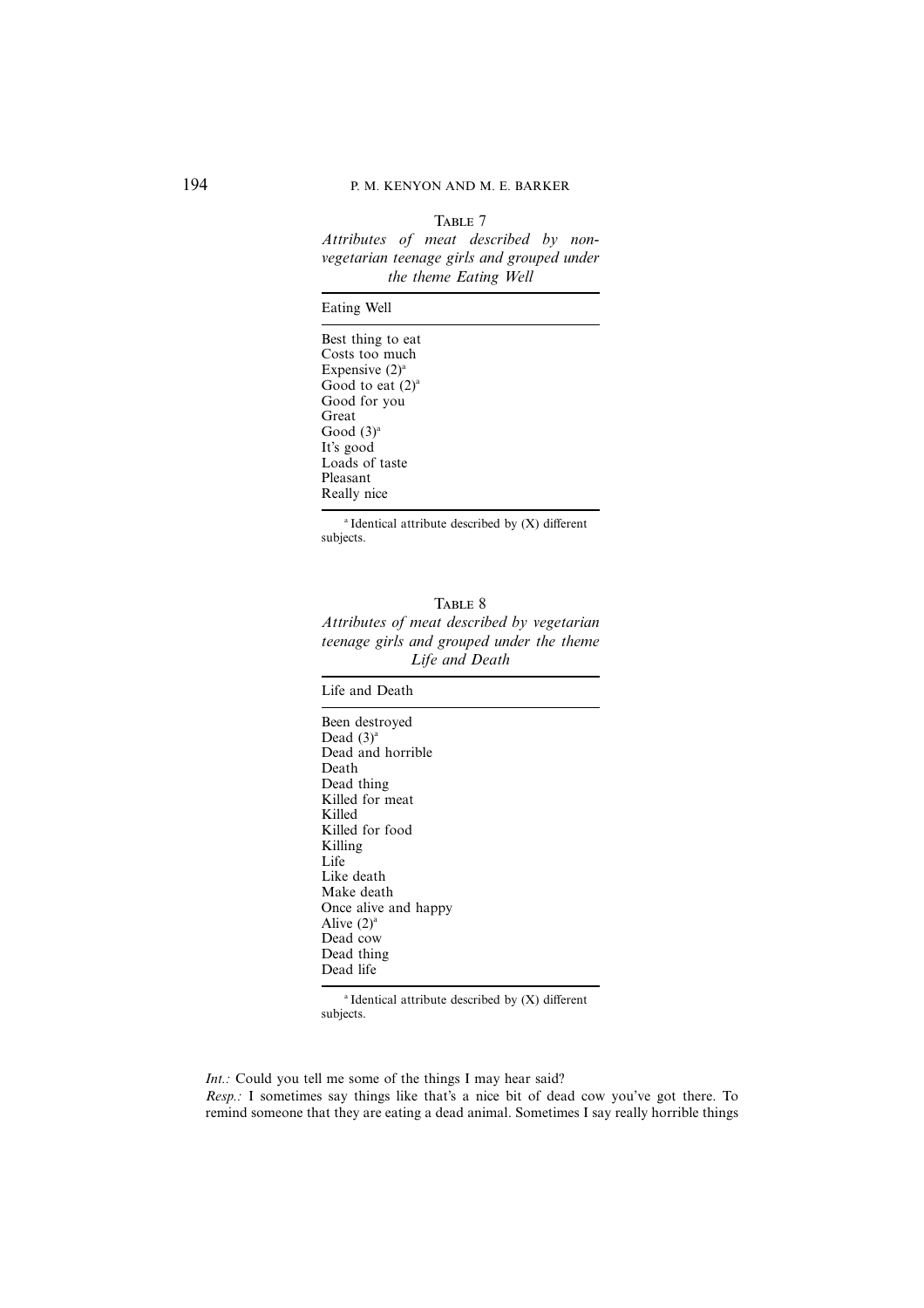TABLE 7 *Attributes of meat described by nonvegetarian teenage girls and grouped under the theme Eating Well*

Eating Well

| Best thing to eat   |
|---------------------|
| Costs too much      |
| Expensive $(2)^a$   |
| Good to eat $(2)^a$ |
| Good for you        |
| Great               |
| Good $(3)^a$        |
| It's good           |
| Loads of taste      |
| Pleasant            |
| Really nice         |

<sup>a</sup> Identical attribute described by (X) different subjects.

| TABLE 8<br>Attributes of meat described by vegetarian<br>teenage girls and grouped under the theme<br>Life and Death |  |  |
|----------------------------------------------------------------------------------------------------------------------|--|--|
| Life and Death                                                                                                       |  |  |
| Been destroyed                                                                                                       |  |  |
| Dead $(3)^a$                                                                                                         |  |  |
| Dead and horrible                                                                                                    |  |  |
| Death                                                                                                                |  |  |
| Dead thing                                                                                                           |  |  |
| Killed for meat                                                                                                      |  |  |
| Killed                                                                                                               |  |  |
| Killed for food                                                                                                      |  |  |
| Killing                                                                                                              |  |  |
| Life                                                                                                                 |  |  |
| Like death                                                                                                           |  |  |
| Make death                                                                                                           |  |  |
| Once alive and happy                                                                                                 |  |  |
| Alive $(2)^a$                                                                                                        |  |  |
| Dead cow                                                                                                             |  |  |
| Dead thing                                                                                                           |  |  |
| Dead life                                                                                                            |  |  |
| <sup>a</sup> Identical attribute described by (X) different                                                          |  |  |

 $a$  Identical attribute described by  $(X)$  different subjects.

*Int.:* Could you tell me some of the things I may hear said? *Resp.*: I sometimes say things like that's a nice bit of dead cow you've got there. To remind someone that they are eating a dead animal. Sometimes I say really horrible things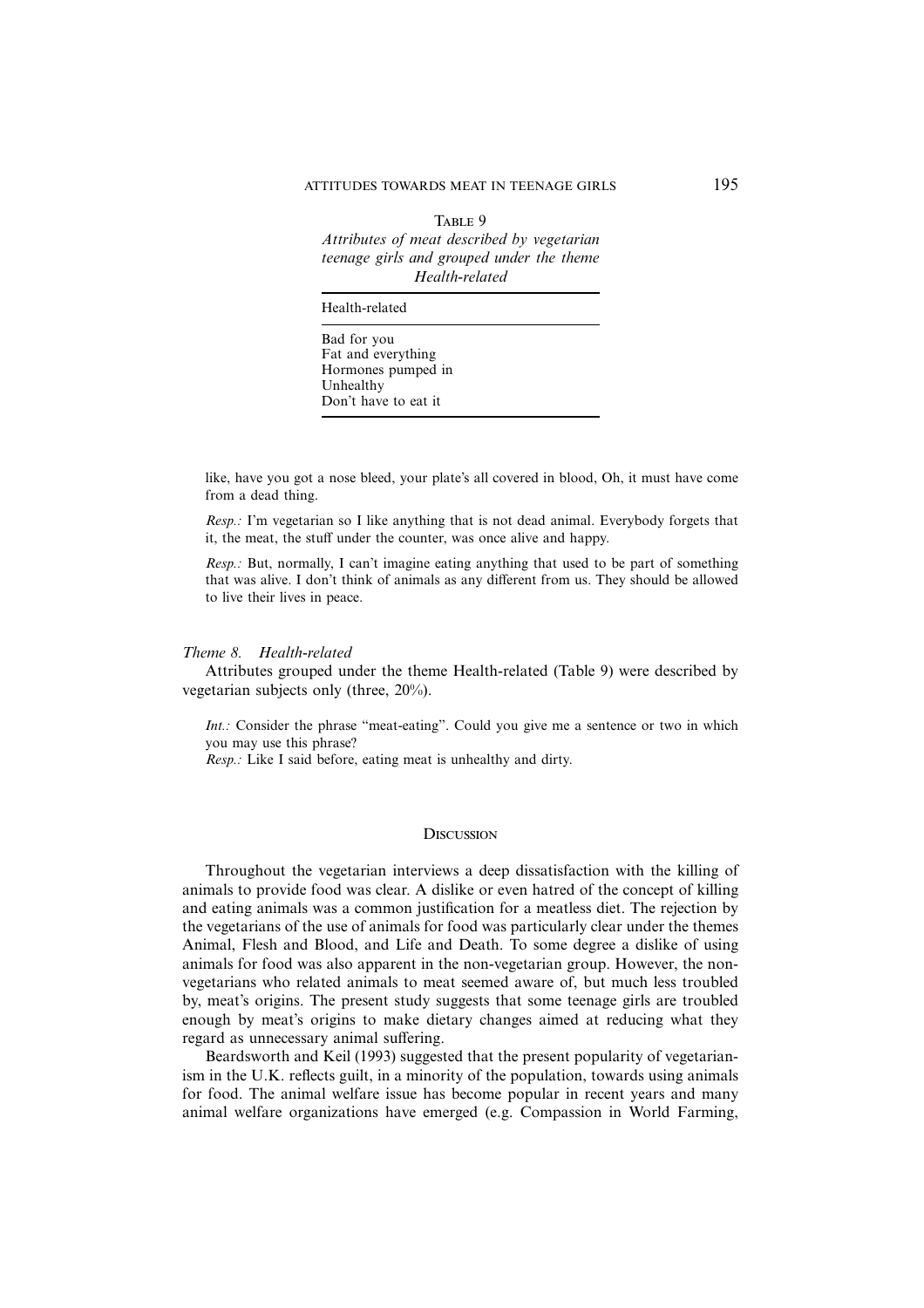## ATTITUDES TOWARDS MEAT IN TEENAGE GIRLS 195

TABLE 9 *Attributes of meat described by vegetarian teenage girls and grouped under the theme Health-related*

Health-related Bad for you Fat and everything Hormones pumped in Unhealthy Don't have to eat it

like, have you got a nose bleed, your plate's all covered in blood, Oh, it must have come from a dead thing.

*Resp.:* I'm vegetarian so I like anything that is not dead animal. Everybody forgets that it, the meat, the stuff under the counter, was once alive and happy.

*Resp.:* But, normally, I can't imagine eating anything that used to be part of something that was alive. I don't think of animals as any different from us. They should be allowed to live their lives in peace.

## *Theme 8. Health-related*

Attributes grouped under the theme Health-related (Table 9) were described by vegetarian subjects only (three, 20%).

*Int.*: Consider the phrase "meat-eating". Could you give me a sentence or two in which you may use this phrase?

*Resp.:* Like I said before, eating meat is unhealthy and dirty.

#### **DISCUSSION**

Throughout the vegetarian interviews a deep dissatisfaction with the killing of animals to provide food was clear. A dislike or even hatred of the concept of killing and eating animals was a common justification for a meatless diet. The rejection by the vegetarians of the use of animals for food was particularly clear under the themes Animal, Flesh and Blood, and Life and Death. To some degree a dislike of using animals for food was also apparent in the non-vegetarian group. However, the nonvegetarians who related animals to meat seemed aware of, but much less troubled by, meat's origins. The present study suggests that some teenage girls are troubled enough by meat's origins to make dietary changes aimed at reducing what they regard as unnecessary animal suffering.

Beardsworth and Keil (1993) suggested that the present popularity of vegetarianism in the U.K. reflects guilt, in a minority of the population, towards using animals for food. The animal welfare issue has become popular in recent years and many animal welfare organizations have emerged (e.g. Compassion in World Farming,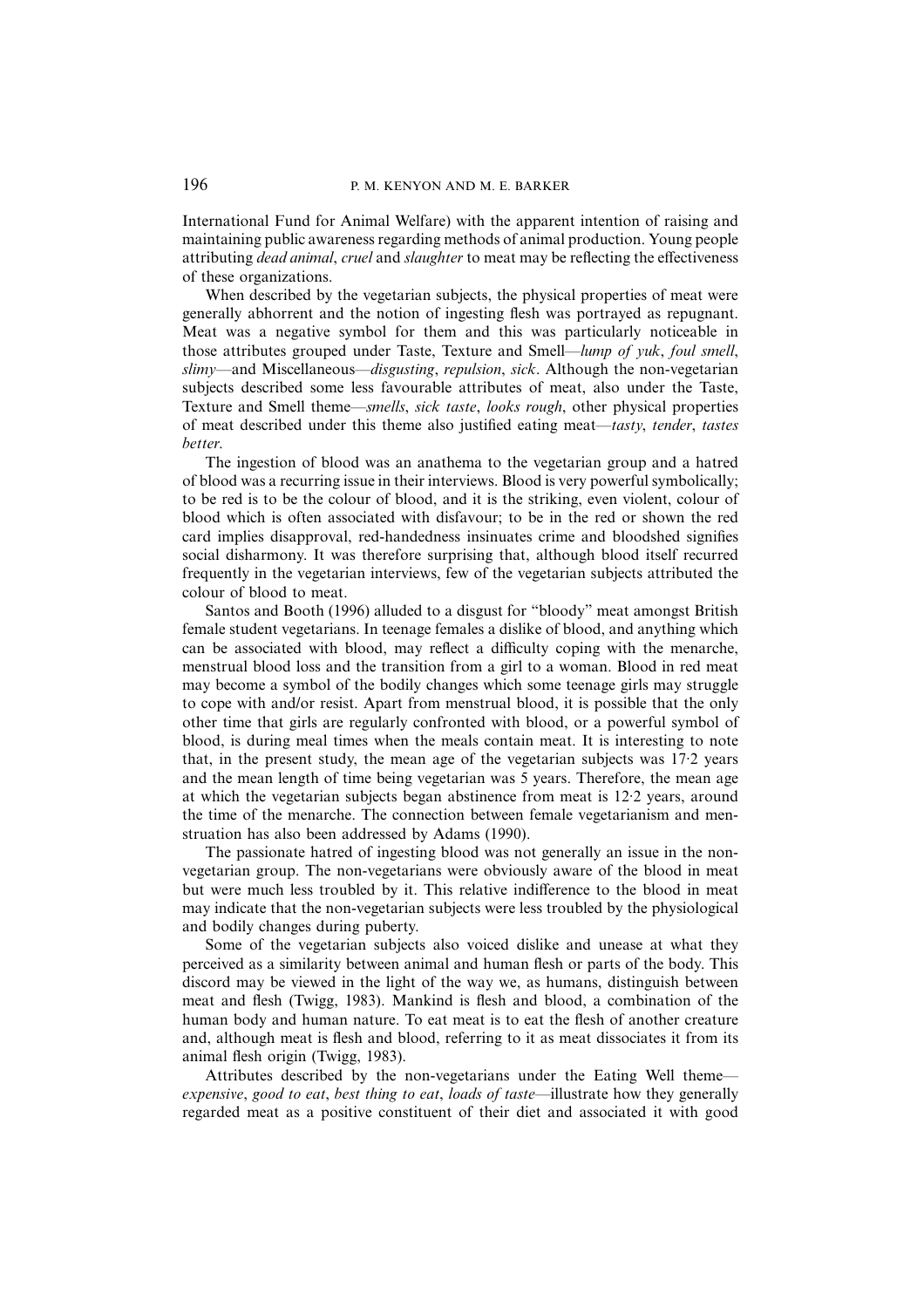International Fund for Animal Welfare) with the apparent intention of raising and maintaining public awareness regarding methods of animal production. Young people attributing *dead animal*, *cruel* and *slaughter* to meat may be reflecting the effectiveness of these organizations.

When described by the vegetarian subjects, the physical properties of meat were generally abhorrent and the notion of ingesting flesh was portrayed as repugnant. Meat was a negative symbol for them and this was particularly noticeable in those attributes grouped under Taste, Texture and Smell—*lump of yuk*, *foul smell*, *slimy*—and Miscellaneous—*disgusting*, *repulsion*, *sick*. Although the non-vegetarian subjects described some less favourable attributes of meat, also under the Taste, Texture and Smell theme—*smells*, *sick taste*, *looks rough*, other physical properties of meat described under this theme also justified eating meat—*tasty*, *tender*, *tastes better*.

The ingestion of blood was an anathema to the vegetarian group and a hatred of blood was a recurring issue in their interviews. Blood is very powerful symbolically; to be red is to be the colour of blood, and it is the striking, even violent, colour of blood which is often associated with disfavour; to be in the red or shown the red card implies disapproval, red-handedness insinuates crime and bloodshed signifies social disharmony. It was therefore surprising that, although blood itself recurred frequently in the vegetarian interviews, few of the vegetarian subjects attributed the colour of blood to meat.

Santos and Booth (1996) alluded to a disgust for "bloody" meat amongst British female student vegetarians. In teenage females a dislike of blood, and anything which can be associated with blood, may reflect a difficulty coping with the menarche, menstrual blood loss and the transition from a girl to a woman. Blood in red meat ma[y become a symbol of the](#page-13-0) bodily changes which some teenage girls may struggle to cope with and/or resist. Apart from menstrual blood, it is possible that the only other time that girls are regularly confronted with blood, or a powerful symbol of blood, is during meal times when the meals contain meat. It is interesting to note that, in the present study, the mean age of the vegetarian subjects was 17·2 years and the mean length of time being vegetarian was 5 years. Therefore, the mean age at which the vegetarian subjects began abstinence from meat is 12·2 years, around the time of the menarche. The connection between female vegetarianism and menstruation has also been addressed by Adams (1990).

The passionate hatred of ingesting blood was not generally an issue in the nonvegetarian group. The non-vegetarians were obviously aware of the blood in meat but were much less troubled by it. This relative indifference to the blood in meat may indicate that the non-vegetarian [subjects were le](#page-13-0)ss troubled by the physiological and bodily changes during puberty.

Some of the vegetarian subjects also voiced dislike and unease at what they perceived as a similarity between animal and human flesh or parts of the body. This discord may be viewed in the light of the way we, as humans, distinguish between meat and flesh (Twigg, 1983). Mankind is flesh and blood, a combination of the human body and human nature. To eat meat is to eat the flesh of another creature and, although meat is flesh and blood, referring to it as meat dissociates it from its animal flesh origin (Twigg, 1983).

Attributes d[escribed by t](#page-13-0)he non-vegetarians under the Eating Well theme *expensive*, *good to eat*, *best thing to eat*, *loads of taste*—illustrate how they generally regarded meat as a positive constituent of their diet and associated it with good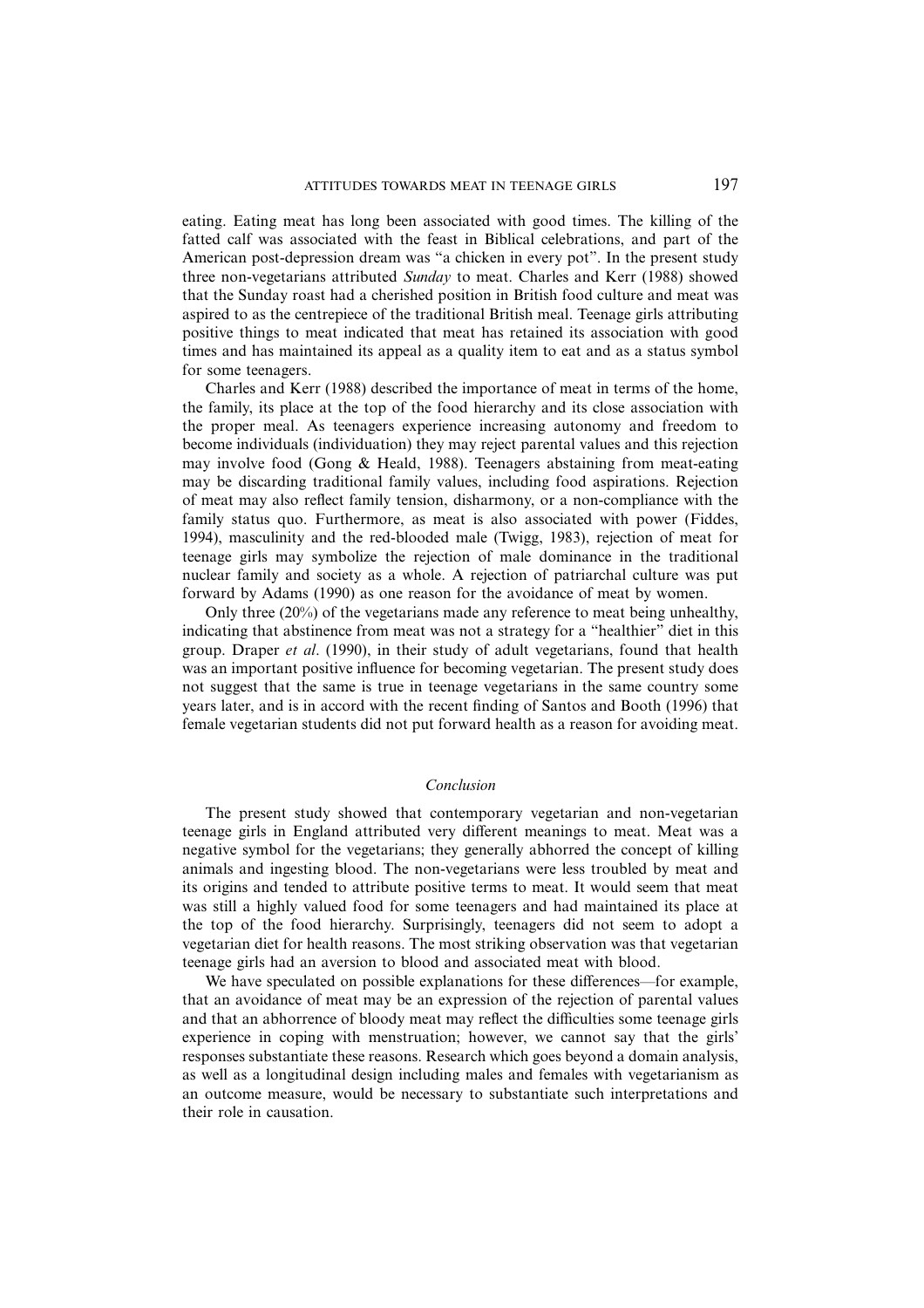eating. Eating meat has long been associated with good times. The killing of the fatted calf was associated with the feast in Biblical celebrations, and part of the American post-depression dream was "a chicken in every pot". In the present study three non-vegetarians attributed *Sunday* to meat. Charles and Kerr (1988) showed that the Sunday roast had a cherished position in British food culture and meat was aspired to as the centrepiece of the traditional British meal. Teenage girls attributing positive things to meat indicated that meat has retained its association with good times and has maintained its appeal as a quality i[tem to eat and as a status](#page-13-0) symbol for some teenagers.

Charles and Kerr (1988) described the importance of meat in terms of the home, the family, its place at the top of the food hierarchy and its close association with the proper meal. As teenagers experience increasing autonomy and freedom to become individuals (individuation) they may reject parental values and this rejection ma[y involve food \(Gong &](#page-13-0) Heald, 1988). Teenagers abstaining from meat-eating may be discarding traditional family values, including food aspirations. Rejection of meat may also reflect family tension, disharmony, or a non-compliance with the family status quo. Furthermore, as meat is also associated with power (Fiddes, 1994), masculinity [and the red-blooded m](#page-13-0)ale (Twigg, 1983), rejection of meat for teenage girls may symbolize the rejection of male dominance in the traditional nuclear family and society as a whole. A rejection of patriarchal culture was put forward by Adams (1990) as one reason for the avoidance of meat by wo[men.](#page-13-0)

[O](#page-13-0)nly three (20%) of the vegetarians made a[ny reference to](#page-13-0) meat being unhealthy, indicating that abstinence from meat was not a strategy for a "healthier" diet in this group. Draper *et al*. (1990), in their study of adult vegetarians, found that health was an imp[ortant positive](#page-13-0) influence for becoming vegetarian. The present study does not suggest that the same is true in teenage vegetarians in the same country some years later, and is in accord with the recent finding of Santos and Booth (1996) that female [vegetarian students d](#page-13-0)id not put forward health as a reason for avoiding meat.

### *Conclusion*

The present study showed that contemporary vegetarian and non-vegetarian teenage girls in England attributed very different meanings to meat. Meat was a negative symbol for the vegetarians; they generally abhorred the concept of killing animals and ingesting blood. The non-vegetarians were less troubled by meat and its origins and tended to attribute positive terms to meat. It would seem that meat was still a highly valued food for some teenagers and had maintained its place at the top of the food hierarchy. Surprisingly, teenagers did not seem to adopt a vegetarian diet for health reasons. The most striking observation was that vegetarian teenage girls had an aversion to blood and associated meat with blood.

We have speculated on possible explanations for these differences—for example, that an avoidance of meat may be an expression of the rejection of parental values and that an abhorrence of bloody meat may reflect the difficulties some teenage girls experience in coping with menstruation; however, we cannot say that the girls' responses substantiate these reasons. Research which goes beyond a domain analysis, as well as a longitudinal design including males and females with vegetarianism as an outcome measure, would be necessary to substantiate such interpretations and their role in causation.